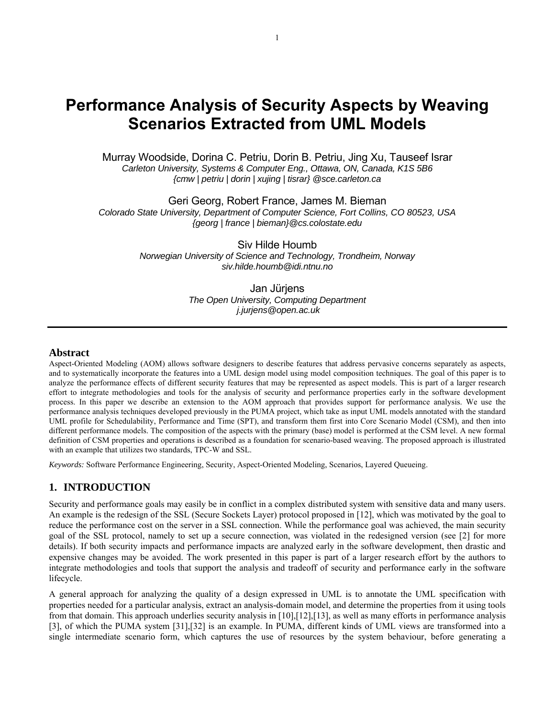# **Performance Analysis of Security Aspects by Weaving Scenarios Extracted from UML Models**

Murray Woodside, Dorina C. Petriu, Dorin B. Petriu, Jing Xu, Tauseef Israr *Carleton University, Systems & Computer Eng., Ottawa, ON, Canada, K1S 5B6 {cmw | petriu | dorin | xujing | tisrar} @sce.carleton.ca* 

Geri Georg, Robert France, James M. Bieman

*Colorado State University, Department of Computer Science, Fort Collins, CO 80523, USA {georg | france | bieman}@cs.colostate.edu* 

> Siv Hilde Houmb *Norwegian University of Science and Technology, Trondheim, Norway siv.hilde.houmb@idi.ntnu.no*

> > Jan Jürjens *The Open University, Computing Department j.jurjens@open.ac.uk*

#### **Abstract**

Aspect-Oriented Modeling (AOM) allows software designers to describe features that address pervasive concerns separately as aspects, and to systematically incorporate the features into a UML design model using model composition techniques. The goal of this paper is to analyze the performance effects of different security features that may be represented as aspect models. This is part of a larger research effort to integrate methodologies and tools for the analysis of security and performance properties early in the software development process. In this paper we describe an extension to the AOM approach that provides support for performance analysis. We use the performance analysis techniques developed previously in the PUMA project, which take as input UML models annotated with the standard UML profile for Schedulability, Performance and Time (SPT), and transform them first into Core Scenario Model (CSM), and then into different performance models. The composition of the aspects with the primary (base) model is performed at the CSM level. A new formal definition of CSM properties and operations is described as a foundation for scenario-based weaving. The proposed approach is illustrated with an example that utilizes two standards, TPC-W and SSL.

*Keywords:* Software Performance Engineering, Security, Aspect-Oriented Modeling, Scenarios, Layered Queueing.

#### **1. INTRODUCTION**

Security and performance goals may easily be in conflict in a complex distributed system with sensitive data and many users. An example is the redesign of the SSL (Secure Sockets Layer) protocol proposed in [12], which was motivated by the goal to reduce the performance cost on the server in a SSL connection. While the performance goal was achieved, the main security goal of the SSL protocol, namely to set up a secure connection, was violated in the redesigned version (see [2] for more details). If both security impacts and performance impacts are analyzed early in the software development, then drastic and expensive changes may be avoided. The work presented in this paper is part of a larger research effort by the authors to integrate methodologies and tools that support the analysis and tradeoff of security and performance early in the software lifecycle.

A general approach for analyzing the quality of a design expressed in UML is to annotate the UML specification with properties needed for a particular analysis, extract an analysis-domain model, and determine the properties from it using tools from that domain. This approach underlies security analysis in [10],[12],[13], as well as many efforts in performance analysis [3], of which the PUMA system [31],[32] is an example. In PUMA, different kinds of UML views are transformed into a single intermediate scenario form, which captures the use of resources by the system behaviour, before generating a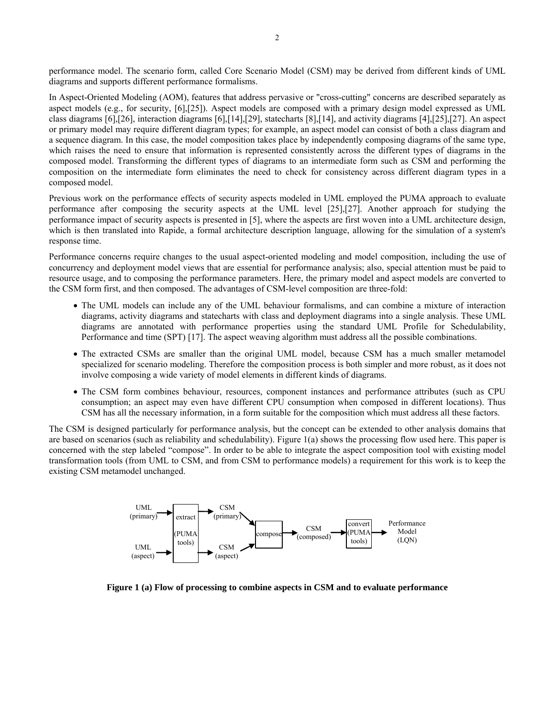performance model. The scenario form, called Core Scenario Model (CSM) may be derived from different kinds of UML diagrams and supports different performance formalisms.

In Aspect-Oriented Modeling (AOM), features that address pervasive or "cross-cutting" concerns are described separately as aspect models (e.g., for security, [6],[25]). Aspect models are composed with a primary design model expressed as UML class diagrams [6],[26], interaction diagrams [6],[14],[29], statecharts [8],[14], and activity diagrams [4],[25],[27]. An aspect or primary model may require different diagram types; for example, an aspect model can consist of both a class diagram and a sequence diagram. In this case, the model composition takes place by independently composing diagrams of the same type, which raises the need to ensure that information is represented consistently across the different types of diagrams in the composed model. Transforming the different types of diagrams to an intermediate form such as CSM and performing the composition on the intermediate form eliminates the need to check for consistency across different diagram types in a composed model.

Previous work on the performance effects of security aspects modeled in UML employed the PUMA approach to evaluate performance after composing the security aspects at the UML level [25],[27]. Another approach for studying the performance impact of security aspects is presented in [5], where the aspects are first woven into a UML architecture design, which is then translated into Rapide, a formal architecture description language, allowing for the simulation of a system's response time.

Performance concerns require changes to the usual aspect-oriented modeling and model composition, including the use of concurrency and deployment model views that are essential for performance analysis; also, special attention must be paid to resource usage, and to composing the performance parameters. Here, the primary model and aspect models are converted to the CSM form first, and then composed. The advantages of CSM-level composition are three-fold:

- The UML models can include any of the UML behaviour formalisms, and can combine a mixture of interaction diagrams, activity diagrams and statecharts with class and deployment diagrams into a single analysis. These UML diagrams are annotated with performance properties using the standard UML Profile for Schedulability, Performance and time (SPT) [17]. The aspect weaving algorithm must address all the possible combinations.
- The extracted CSMs are smaller than the original UML model, because CSM has a much smaller metamodel specialized for scenario modeling. Therefore the composition process is both simpler and more robust, as it does not involve composing a wide variety of model elements in different kinds of diagrams.
- The CSM form combines behaviour, resources, component instances and performance attributes (such as CPU consumption; an aspect may even have different CPU consumption when composed in different locations). Thus CSM has all the necessary information, in a form suitable for the composition which must address all these factors.

The CSM is designed particularly for performance analysis, but the concept can be extended to other analysis domains that are based on scenarios (such as reliability and schedulability). Figure 1(a) shows the processing flow used here. This paper is concerned with the step labeled "compose". In order to be able to integrate the aspect composition tool with existing model transformation tools (from UML to CSM, and from CSM to performance models) a requirement for this work is to keep the existing CSM metamodel unchanged.



**Figure 1 (a) Flow of processing to combine aspects in CSM and to evaluate performance**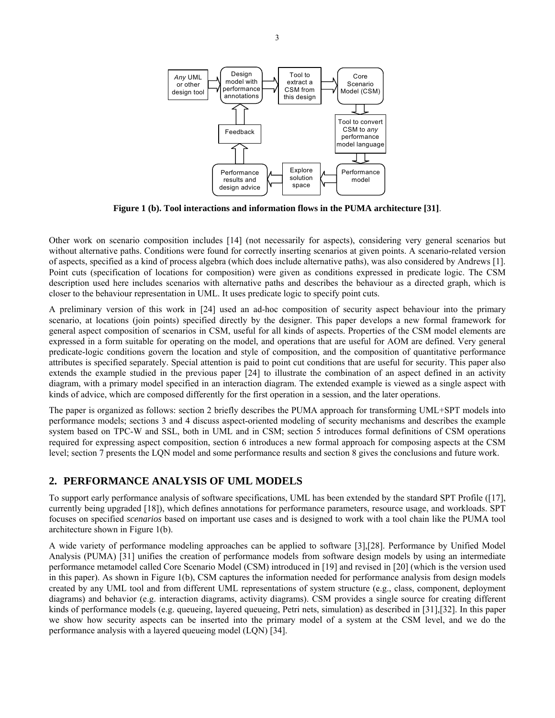

**Figure 1 (b). Tool interactions and information flows in the PUMA architecture [31]**.

Explore solution space

Performance results and design advice Performance model

Other work on scenario composition includes [14] (not necessarily for aspects), considering very general scenarios but without alternative paths. Conditions were found for correctly inserting scenarios at given points. A scenario-related version of aspects, specified as a kind of process algebra (which does include alternative paths), was also considered by Andrews [1]. Point cuts (specification of locations for composition) were given as conditions expressed in predicate logic. The CSM description used here includes scenarios with alternative paths and describes the behaviour as a directed graph, which is closer to the behaviour representation in UML. It uses predicate logic to specify point cuts.

A preliminary version of this work in [24] used an ad-hoc composition of security aspect behaviour into the primary scenario, at locations (join points) specified directly by the designer. This paper develops a new formal framework for general aspect composition of scenarios in CSM, useful for all kinds of aspects. Properties of the CSM model elements are expressed in a form suitable for operating on the model, and operations that are useful for AOM are defined. Very general predicate-logic conditions govern the location and style of composition, and the composition of quantitative performance attributes is specified separately. Special attention is paid to point cut conditions that are useful for security. This paper also extends the example studied in the previous paper [24] to illustrate the combination of an aspect defined in an activity diagram, with a primary model specified in an interaction diagram. The extended example is viewed as a single aspect with kinds of advice, which are composed differently for the first operation in a session, and the later operations.

The paper is organized as follows: section 2 briefly describes the PUMA approach for transforming UML+SPT models into performance models; sections 3 and 4 discuss aspect-oriented modeling of security mechanisms and describes the example system based on TPC-W and SSL, both in UML and in CSM; section 5 introduces formal definitions of CSM operations required for expressing aspect composition, section 6 introduces a new formal approach for composing aspects at the CSM level; section 7 presents the LQN model and some performance results and section 8 gives the conclusions and future work.

# **2. PERFORMANCE ANALYSIS OF UML MODELS**

To support early performance analysis of software specifications, UML has been extended by the standard SPT Profile ([17], currently being upgraded [18]), which defines annotations for performance parameters, resource usage, and workloads. SPT focuses on specified *scenarios* based on important use cases and is designed to work with a tool chain like the PUMA tool architecture shown in Figure 1(b).

A wide variety of performance modeling approaches can be applied to software [3],[28]. Performance by Unified Model Analysis (PUMA) [31] unifies the creation of performance models from software design models by using an intermediate performance metamodel called Core Scenario Model (CSM) introduced in [19] and revised in [20] (which is the version used in this paper). As shown in Figure 1(b), CSM captures the information needed for performance analysis from design models created by any UML tool and from different UML representations of system structure (e.g., class, component, deployment diagrams) and behavior (e.g. interaction diagrams, activity diagrams). CSM provides a single source for creating different kinds of performance models (e.g. queueing, layered queueing, Petri nets, simulation) as described in [31],[32]. In this paper we show how security aspects can be inserted into the primary model of a system at the CSM level, and we do the performance analysis with a layered queueing model (LQN) [34].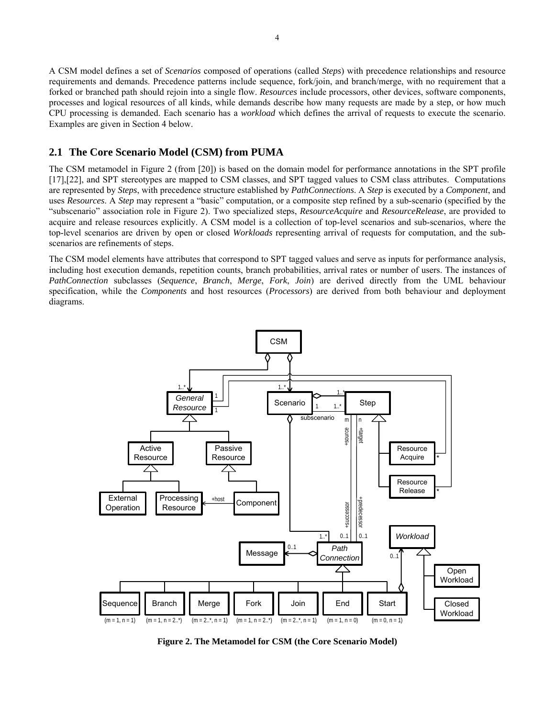A CSM model defines a set of *Scenarios* composed of operations (called *Steps*) with precedence relationships and resource requirements and demands. Precedence patterns include sequence, fork/join, and branch/merge, with no requirement that a forked or branched path should rejoin into a single flow. *Resources* include processors, other devices, software components, processes and logical resources of all kinds, while demands describe how many requests are made by a step, or how much CPU processing is demanded. Each scenario has a *workload* which defines the arrival of requests to execute the scenario. Examples are given in Section 4 below.

## **2.1 The Core Scenario Model (CSM) from PUMA**

The CSM metamodel in Figure 2 (from [20]) is based on the domain model for performance annotations in the SPT profile [17],[22], and SPT stereotypes are mapped to CSM classes, and SPT tagged values to CSM class attributes. Computations are represented by *Steps*, with precedence structure established by *PathConnections*. A *Step* is executed by a *Component*, and uses *Resources*. A *Step* may represent a "basic" computation, or a composite step refined by a sub-scenario (specified by the "subscenario" association role in Figure 2). Two specialized steps, *ResourceAcquire* and *ResourceRelease*, are provided to acquire and release resources explicitly. A CSM model is a collection of top-level scenarios and sub-scenarios, where the top-level scenarios are driven by open or closed *Workloads* representing arrival of requests for computation, and the subscenarios are refinements of steps.

The CSM model elements have attributes that correspond to SPT tagged values and serve as inputs for performance analysis, including host execution demands, repetition counts, branch probabilities, arrival rates or number of users. The instances of *PathConnection* subclasses (*Sequence*, *Branch*, *Merge*, *Fork*, *Join*) are derived directly from the UML behaviour specification, while the *Components* and host resources (*Processors*) are derived from both behaviour and deployment diagrams.



**Figure 2. The Metamodel for CSM (the Core Scenario Model)**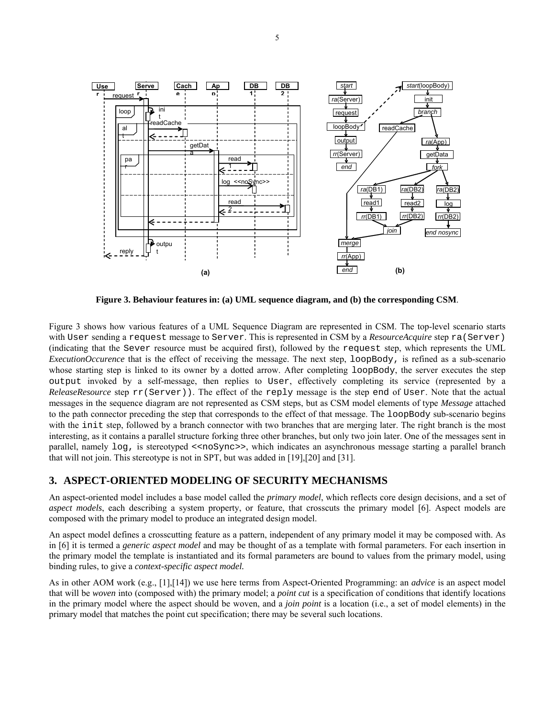

**Figure 3. Behaviour features in: (a) UML sequence diagram, and (b) the corresponding CSM**.

Figure 3 shows how various features of a UML Sequence Diagram are represented in CSM. The top-level scenario starts with User sending a request message to Server. This is represented in CSM by a *ResourceAcquire* step ra(Server) (indicating that the Sever resource must be acquired first), followed by the request step, which represents the UML *ExecutionOccurence* that is the effect of receiving the message. The next step, loopBody, is refined as a sub-scenario whose starting step is linked to its owner by a dotted arrow. After completing loopBody, the server executes the step output invoked by a self-message, then replies to User, effectively completing its service (represented by a *ReleaseResource* step rr(Server)). The effect of the reply message is the step end of User. Note that the actual messages in the sequence diagram are not represented as CSM steps, but as CSM model elements of type *Message* attached to the path connector preceding the step that corresponds to the effect of that message. The loopBody sub-scenario begins with the init step, followed by a branch connector with two branches that are merging later. The right branch is the most interesting, as it contains a parallel structure forking three other branches, but only two join later. One of the messages sent in parallel, namely  $log<sub>g</sub>$  is stereotyped <<noSync>>, which indicates an asynchronous message starting a parallel branch that will not join. This stereotype is not in SPT, but was added in [19],[20] and [31].

# **3. ASPECT-ORIENTED MODELING OF SECURITY MECHANISMS**

An aspect-oriented model includes a base model called the *primary model*, which reflects core design decisions, and a set of *aspect models*, each describing a system property, or feature, that crosscuts the primary model [6]. Aspect models are composed with the primary model to produce an integrated design model.

An aspect model defines a crosscutting feature as a pattern, independent of any primary model it may be composed with. As in [6] it is termed a *generic aspect model* and may be thought of as a template with formal parameters. For each insertion in the primary model the template is instantiated and its formal parameters are bound to values from the primary model, using binding rules, to give a *context-specific aspect model.*

As in other AOM work (e.g., [1],[14]) we use here terms from Aspect-Oriented Programming: an *advice* is an aspect model that will be *woven* into (composed with) the primary model; a *point cut* is a specification of conditions that identify locations in the primary model where the aspect should be woven, and a *join point* is a location (i.e., a set of model elements) in the primary model that matches the point cut specification; there may be several such locations.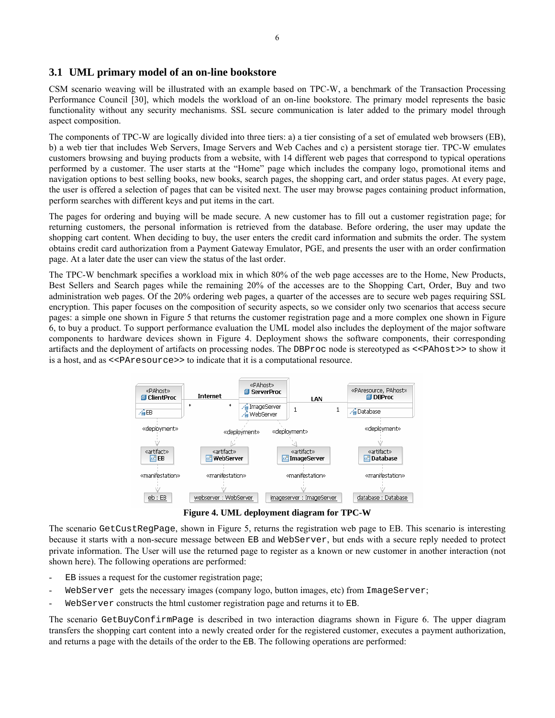## **3.1 UML primary model of an on-line bookstore**

CSM scenario weaving will be illustrated with an example based on TPC-W, a benchmark of the Transaction Processing Performance Council [30], which models the workload of an on-line bookstore. The primary model represents the basic functionality without any security mechanisms. SSL secure communication is later added to the primary model through aspect composition.

The components of TPC-W are logically divided into three tiers: a) a tier consisting of a set of emulated web browsers (EB), b) a web tier that includes Web Servers, Image Servers and Web Caches and c) a persistent storage tier. TPC-W emulates customers browsing and buying products from a website, with 14 different web pages that correspond to typical operations performed by a customer. The user starts at the "Home" page which includes the company logo, promotional items and navigation options to best selling books, new books, search pages, the shopping cart, and order status pages. At every page, the user is offered a selection of pages that can be visited next. The user may browse pages containing product information, perform searches with different keys and put items in the cart.

The pages for ordering and buying will be made secure. A new customer has to fill out a customer registration page; for returning customers, the personal information is retrieved from the database. Before ordering, the user may update the shopping cart content. When deciding to buy, the user enters the credit card information and submits the order. The system obtains credit card authorization from a Payment Gateway Emulator, PGE, and presents the user with an order confirmation page. At a later date the user can view the status of the last order.

The TPC-W benchmark specifies a workload mix in which 80% of the web page accesses are to the Home, New Products, Best Sellers and Search pages while the remaining 20% of the accesses are to the Shopping Cart, Order, Buy and two administration web pages. Of the 20% ordering web pages, a quarter of the accesses are to secure web pages requiring SSL encryption. This paper focuses on the composition of security aspects, so we consider only two scenarios that access secure pages: a simple one shown in Figure 5 that returns the customer registration page and a more complex one shown in Figure 6, to buy a product. To support performance evaluation the UML model also includes the deployment of the major software components to hardware devices shown in Figure 4. Deployment shows the software components, their corresponding artifacts and the deployment of artifacts on processing nodes. The DBProc node is stereotyped as <<PAhost>> to show it is a host, and as <<PAresource>> to indicate that it is a computational resource.



**Figure 4. UML deployment diagram for TPC-W** 

The scenario GetCustRegPage, shown in Figure 5, returns the registration web page to EB. This scenario is interesting because it starts with a non-secure message between EB and WebServer, but ends with a secure reply needed to protect private information. The User will use the returned page to register as a known or new customer in another interaction (not shown here). The following operations are performed:

- EB issues a request for the customer registration page;
- WebServer gets the necessary images (company logo, button images, etc) from ImageServer;
- WebServer constructs the html customer registration page and returns it to EB.

The scenario GetBuyConfirmPage is described in two interaction diagrams shown in Figure 6. The upper diagram transfers the shopping cart content into a newly created order for the registered customer, executes a payment authorization, and returns a page with the details of the order to the EB. The following operations are performed: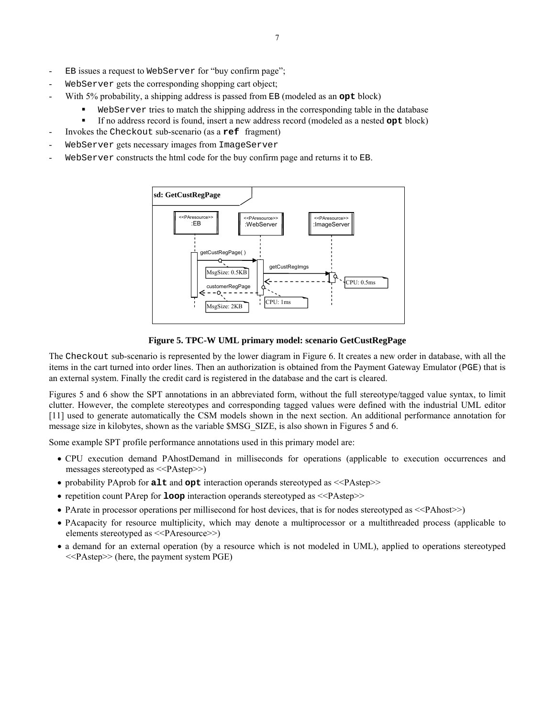- EB issues a request to WebServer for "buy confirm page";
- WebServer gets the corresponding shopping cart object;
- With 5% probability, a shipping address is passed from EB (modeled as an **opt** block)
	- WebServer tries to match the shipping address in the corresponding table in the database
	- If no address record is found, insert a new address record (modeled as a nested **opt** block)
- Invokes the Checkout sub-scenario (as a **ref** fragment)
- WebServer gets necessary images from ImageServer
- WebServer constructs the html code for the buy confirm page and returns it to EB.





The Checkout sub-scenario is represented by the lower diagram in Figure 6. It creates a new order in database, with all the items in the cart turned into order lines. Then an authorization is obtained from the Payment Gateway Emulator (PGE) that is an external system. Finally the credit card is registered in the database and the cart is cleared.

Figures 5 and 6 show the SPT annotations in an abbreviated form, without the full stereotype/tagged value syntax, to limit clutter. However, the complete stereotypes and corresponding tagged values were defined with the industrial UML editor [11] used to generate automatically the CSM models shown in the next section. An additional performance annotation for message size in kilobytes, shown as the variable \$MSG\_SIZE, is also shown in Figures 5 and 6.

Some example SPT profile performance annotations used in this primary model are:

- CPU execution demand PAhostDemand in milliseconds for operations (applicable to execution occurrences and messages stereotyped as <<PAstep>>)
- probability PAprob for **alt** and **opt** interaction operands stereotyped as <<PAstep>>
- repetition count PArep for **loop** interaction operands stereotyped as  $\langle$ PAstep>>
- PArate in processor operations per millisecond for host devices, that is for nodes stereotyped as  $\leq$ PAhost>>)
- PAcapacity for resource multiplicity, which may denote a multiprocessor or a multithreaded process (applicable to elements stereotyped as <<PAresource>>)
- a demand for an external operation (by a resource which is not modeled in UML), applied to operations stereotyped  $<Astep $>>$  (here, the payment system PGE)$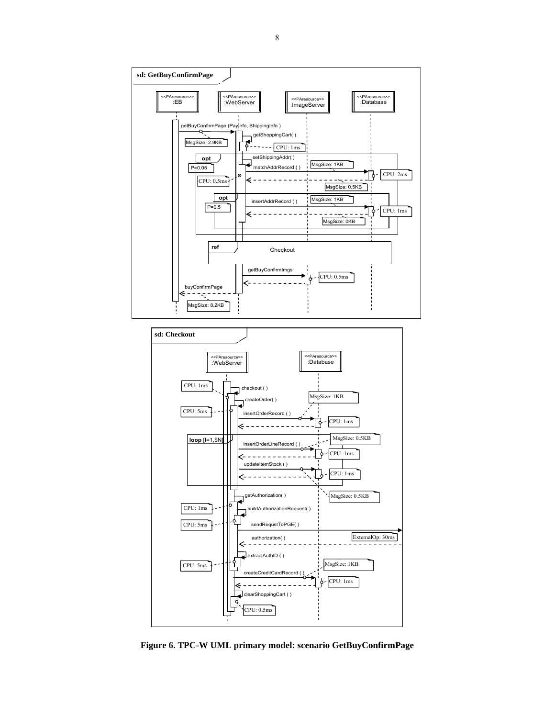

**Figure 6. TPC-W UML primary model: scenario GetBuyConfirmPage**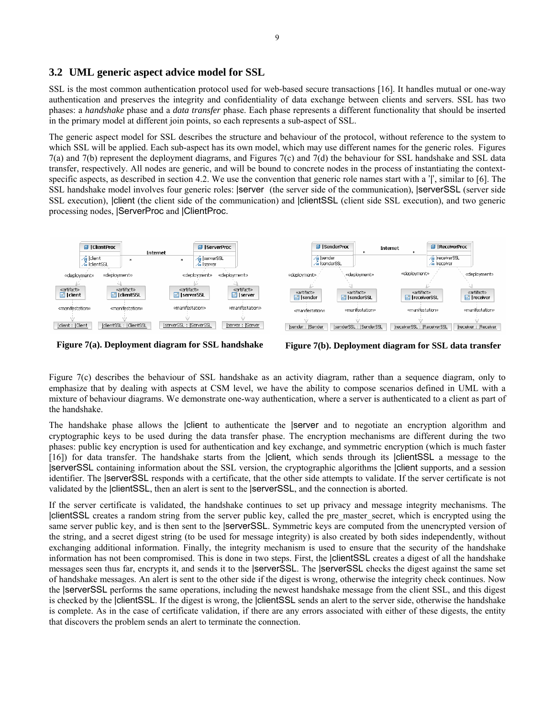## **3.2 UML generic aspect advice model for SSL**

SSL is the most common authentication protocol used for web-based secure transactions [16]. It handles mutual or one-way authentication and preserves the integrity and confidentiality of data exchange between clients and servers. SSL has two phases: a *handshake* phase and a *data transfer* phase. Each phase represents a different functionality that should be inserted in the primary model at different join points, so each represents a sub-aspect of SSL.

The generic aspect model for SSL describes the structure and behaviour of the protocol, without reference to the system to which SSL will be applied. Each sub-aspect has its own model, which may use different names for the generic roles. Figures 7(a) and 7(b) represent the deployment diagrams, and Figures 7(c) and 7(d) the behaviour for SSL handshake and SSL data transfer, respectively. All nodes are generic, and will be bound to concrete nodes in the process of instantiating the contextspecific aspects, as described in section 4.2. We use the convention that generic role names start with a '|', similar to [6]. The SSL handshake model involves four generic roles: |server (the server side of the communication), |serverSSL (server side SSL execution), |client (the client side of the communication) and |clientSSL (client side SSL execution), and two generic processing nodes, |ServerProc and |ClientProc.



**Figure 7(a). Deployment diagram for SSL handshake Figure 7(b). Deployment diagram for SSL data transfer**

Figure 7(c) describes the behaviour of SSL handshake as an activity diagram, rather than a sequence diagram, only to emphasize that by dealing with aspects at CSM level, we have the ability to compose scenarios defined in UML with a mixture of behaviour diagrams. We demonstrate one-way authentication, where a server is authenticated to a client as part of the handshake.

The handshake phase allows the |client to authenticate the |server and to negotiate an encryption algorithm and cryptographic keys to be used during the data transfer phase. The encryption mechanisms are different during the two phases: public key encryption is used for authentication and key exchange, and symmetric encryption (which is much faster [16]) for data transfer. The handshake starts from the |client, which sends through its |clientSSL a message to the |serverSSL containing information about the SSL version, the cryptographic algorithms the |client supports, and a session identifier. The |serverSSL responds with a certificate, that the other side attempts to validate. If the server certificate is not validated by the |clientSSL, then an alert is sent to the |serverSSL, and the connection is aborted.

If the server certificate is validated, the handshake continues to set up privacy and message integrity mechanisms. The |clientSSL creates a random string from the server public key, called the pre\_master\_secret, which is encrypted using the same server public key, and is then sent to the **|serverSSL**. Symmetric keys are computed from the unencrypted version of the string, and a secret digest string (to be used for message integrity) is also created by both sides independently, without exchanging additional information. Finally, the integrity mechanism is used to ensure that the security of the handshake information has not been compromised. This is done in two steps. First, the |clientSSL creates a digest of all the handshake messages seen thus far, encrypts it, and sends it to the |serverSSL. The |serverSSL checks the digest against the same set of handshake messages. An alert is sent to the other side if the digest is wrong, otherwise the integrity check continues. Now the |serverSSL performs the same operations, including the newest handshake message from the client SSL, and this digest is checked by the |clientSSL. If the digest is wrong, the |clientSSL sends an alert to the server side, otherwise the handshake is complete. As in the case of certificate validation, if there are any errors associated with either of these digests, the entity that discovers the problem sends an alert to terminate the connection.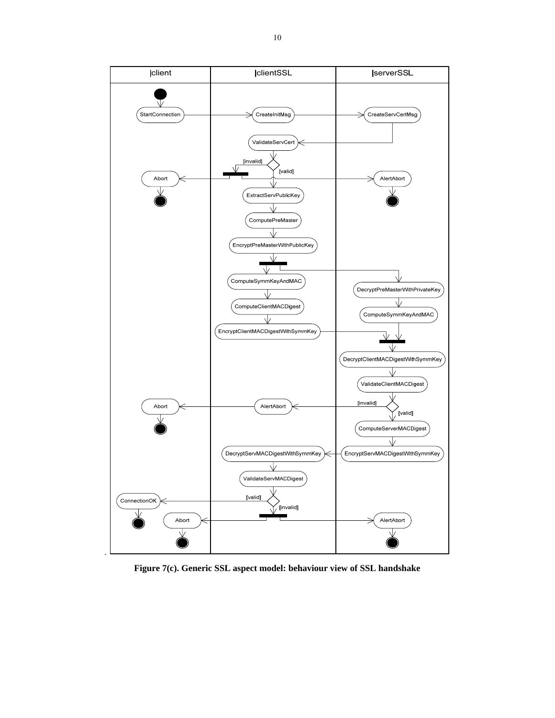

**Figure 7(c). Generic SSL aspect model: behaviour view of SSL handshake**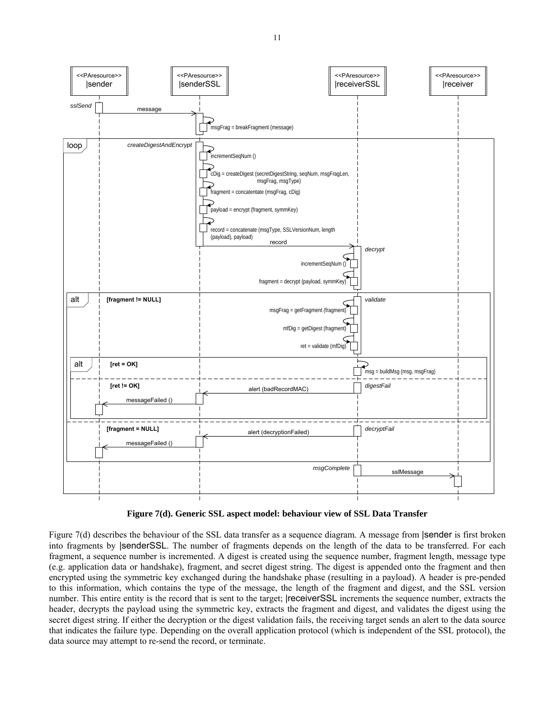

**Figure 7(d). Generic SSL aspect model: behaviour view of SSL Data Transfer**

Figure 7(d) describes the behaviour of the SSL data transfer as a sequence diagram. A message from |sender is first broken into fragments by |senderSSL. The number of fragments depends on the length of the data to be transferred. For each fragment, a sequence number is incremented. A digest is created using the sequence number, fragment length, message type (e.g. application data or handshake), fragment, and secret digest string. The digest is appended onto the fragment and then encrypted using the symmetric key exchanged during the handshake phase (resulting in a payload). A header is pre-pended to this information, which contains the type of the message, the length of the fragment and digest, and the SSL version number. This entire entity is the record that is sent to the target; |receiverSSL increments the sequence number, extracts the header, decrypts the payload using the symmetric key, extracts the fragment and digest, and validates the digest using the secret digest string. If either the decryption or the digest validation fails, the receiving target sends an alert to the data source that indicates the failure type. Depending on the overall application protocol (which is independent of the SSL protocol), the data source may attempt to re-send the record, or terminate.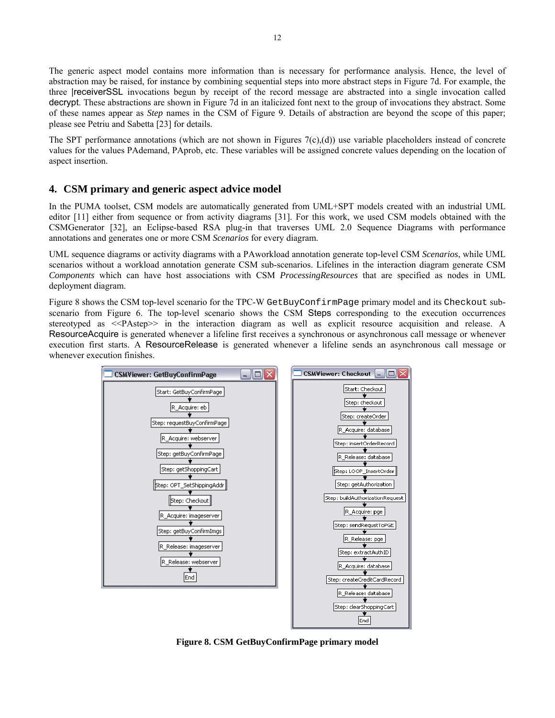The generic aspect model contains more information than is necessary for performance analysis. Hence, the level of abstraction may be raised, for instance by combining sequential steps into more abstract steps in Figure 7d. For example, the three |receiverSSL invocations begun by receipt of the record message are abstracted into a single invocation called decrypt. These abstractions are shown in Figure 7d in an italicized font next to the group of invocations they abstract. Some of these names appear as *Step* names in the CSM of Figure 9. Details of abstraction are beyond the scope of this paper; please see Petriu and Sabetta [23] for details.

The SPT performance annotations (which are not shown in Figures  $7(c)$ ,(d)) use variable placeholders instead of concrete values for the values PAdemand, PAprob, etc. These variables will be assigned concrete values depending on the location of aspect insertion.

## **4. CSM primary and generic aspect advice model**

In the PUMA toolset, CSM models are automatically generated from UML+SPT models created with an industrial UML editor [11] either from sequence or from activity diagrams [31]. For this work, we used CSM models obtained with the CSMGenerator [32], an Eclipse-based RSA plug-in that traverses UML 2.0 Sequence Diagrams with performance annotations and generates one or more CSM *Scenarios* for every diagram.

UML sequence diagrams or activity diagrams with a PAworkload annotation generate top-level CSM *Scenarios*, while UML scenarios without a workload annotation generate CSM sub-scenarios. Lifelines in the interaction diagram generate CSM *Components* which can have host associations with CSM *ProcessingResources* that are specified as nodes in UML deployment diagram.

Figure 8 shows the CSM top-level scenario for the TPC-W GetBuyConfirmPage primary model and its Checkout subscenario from Figure 6. The top-level scenario shows the CSM Steps corresponding to the execution occurrences stereotyped as <<PAstep>> in the interaction diagram as well as explicit resource acquisition and release. A ResourceAcquire is generated whenever a lifeline first receives a synchronous or asynchronous call message or whenever execution first starts. A ResourceRelease is generated whenever a lifeline sends an asynchronous call message or whenever execution finishes.



**Figure 8. CSM GetBuyConfirmPage primary model**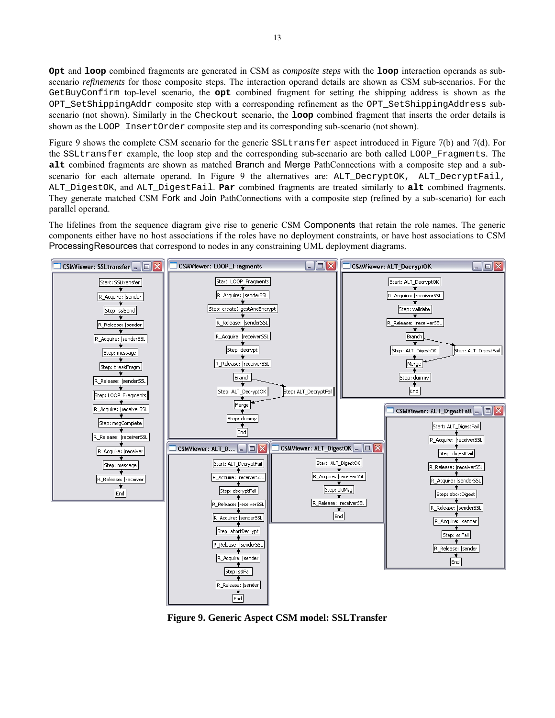**Opt** and **loop** combined fragments are generated in CSM as *composite steps* with the **loop** interaction operands as subscenario *refinements* for those composite steps. The interaction operand details are shown as CSM sub-scenarios. For the GetBuyConfirm top-level scenario, the **opt** combined fragment for setting the shipping address is shown as the OPT\_SetShippingAddr composite step with a corresponding refinement as the OPT\_SetShippingAddress subscenario (not shown). Similarly in the Checkout scenario, the **loop** combined fragment that inserts the order details is shown as the LOOP InsertOrder composite step and its corresponding sub-scenario (not shown).

Figure 9 shows the complete CSM scenario for the generic SSLtransfer aspect introduced in Figure 7(b) and 7(d). For the SSLtransfer example, the loop step and the corresponding sub-scenario are both called LOOP\_Fragments*.* The **alt** combined fragments are shown as matched Branch and Merge PathConnections with a composite step and a subscenario for each alternate operand. In Figure 9 the alternatives are: ALT\_DecryptOK, ALT\_DecryptFail, ALT\_DigestOK, and ALT\_DigestFail. **Par** combined fragments are treated similarly to **alt** combined fragments. They generate matched CSM Fork and Join PathConnections with a composite step (refined by a sub-scenario) for each parallel operand.

The lifelines from the sequence diagram give rise to generic CSM Components that retain the role names. The generic components either have no host associations if the roles have no deployment constraints, or have host associations to CSM ProcessingResources that correspond to nodes in any constraining UML deployment diagrams.



**Figure 9. Generic Aspect CSM model: SSLTransfer**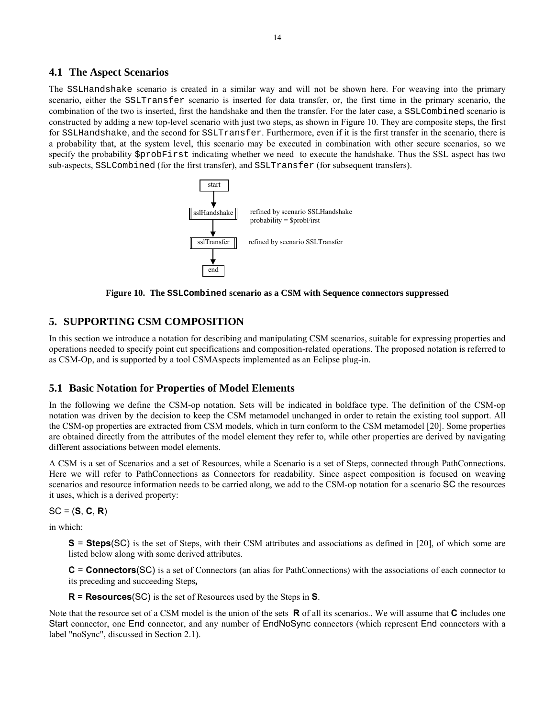## **4.1 The Aspect Scenarios**

The SSLHandshake scenario is created in a similar way and will not be shown here. For weaving into the primary scenario, either the SSLTransfer scenario is inserted for data transfer, or, the first time in the primary scenario, the combination of the two is inserted, first the handshake and then the transfer. For the later case, a SSLCombined scenario is constructed by adding a new top-level scenario with just two steps, as shown in Figure 10. They are composite steps, the first for SSLHandshake, and the second for SSLTransfer. Furthermore, even if it is the first transfer in the scenario, there is a probability that, at the system level, this scenario may be executed in combination with other secure scenarios, so we specify the probability  $$probFirst$  indicating whether we need to execute the handshake. Thus the SSL aspect has two sub-aspects, SSLCombined (for the first transfer), and SSLTransfer (for subsequent transfers).



**Figure 10. The SSLCombined scenario as a CSM with Sequence connectors suppressed** 

# **5. SUPPORTING CSM COMPOSITION**

In this section we introduce a notation for describing and manipulating CSM scenarios, suitable for expressing properties and operations needed to specify point cut specifications and composition-related operations. The proposed notation is referred to as CSM-Op, and is supported by a tool CSMAspects implemented as an Eclipse plug-in.

# **5.1 Basic Notation for Properties of Model Elements**

In the following we define the CSM-op notation. Sets will be indicated in boldface type. The definition of the CSM-op notation was driven by the decision to keep the CSM metamodel unchanged in order to retain the existing tool support. All the CSM-op properties are extracted from CSM models, which in turn conform to the CSM metamodel [20]. Some properties are obtained directly from the attributes of the model element they refer to, while other properties are derived by navigating different associations between model elements.

A CSM is a set of Scenarios and a set of Resources, while a Scenario is a set of Steps, connected through PathConnections. Here we will refer to PathConnections as Connectors for readability. Since aspect composition is focused on weaving scenarios and resource information needs to be carried along, we add to the CSM-op notation for a scenario SC the resources it uses, which is a derived property:

#### SC = (**S**, **C**, **R**)

in which:

**S** = **Steps**(SC) is the set of Steps, with their CSM attributes and associations as defined in [20], of which some are listed below along with some derived attributes.

**C** = **Connectors**(SC) is a set of Connectors (an alias for PathConnections) with the associations of each connector to its preceding and succeeding Steps**,** 

**R** = **Resources**(SC) is the set of Resources used by the Steps in **S**.

Note that the resource set of a CSM model is the union of the sets **R** of all its scenarios.. We will assume that **C** includes one Start connector, one End connector, and any number of EndNoSync connectors (which represent End connectors with a label "noSync", discussed in Section 2.1).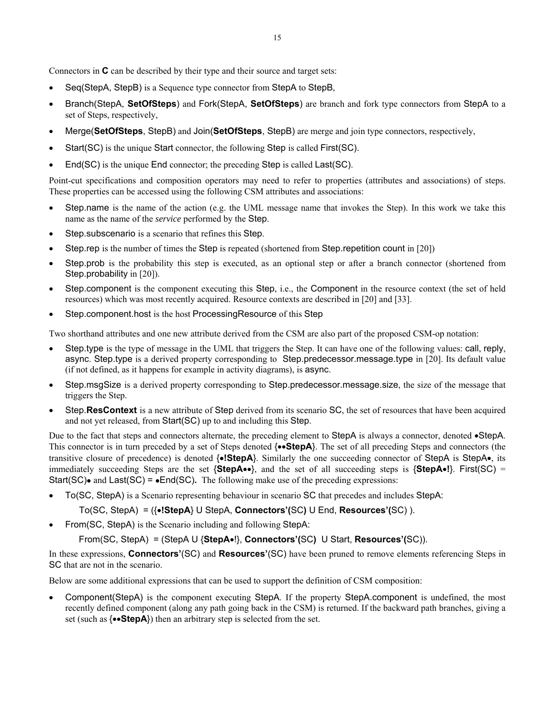Connectors in **C** can be described by their type and their source and target sets:

- Seq(StepA, StepB) is a Sequence type connector from StepA to StepB,
- Branch(StepA, **SetOfSteps**) and Fork(StepA, **SetOfSteps**) are branch and fork type connectors from StepA to a set of Steps, respectively,
- Merge(**SetOfSteps**, StepB) and Join(**SetOfSteps**, StepB) are merge and join type connectors, respectively,
- Start(SC) is the unique Start connector, the following Step is called First(SC).
- End(SC) is the unique End connector; the preceding Step is called Last(SC).

Point-cut specifications and composition operators may need to refer to properties (attributes and associations) of steps. These properties can be accessed using the following CSM attributes and associations:

- Step.name is the name of the action (e.g. the UML message name that invokes the Step). In this work we take this name as the name of the *service* performed by the Step.
- Step.subscenario is a scenario that refines this Step.
- Step.rep is the number of times the Step is repeated (shortened from Step.repetition count in [20])
- Step.prob is the probability this step is executed, as an optional step or after a branch connector (shortened from Step.probability in [20]).
- Step.component is the component executing this Step, i.e., the Component in the resource context (the set of held resources) which was most recently acquired. Resource contexts are described in [20] and [33].
- Step.component.host is the host ProcessingResource of this Step

Two shorthand attributes and one new attribute derived from the CSM are also part of the proposed CSM-op notation:

- Step.type is the type of message in the UML that triggers the Step. It can have one of the following values: call, reply, async. Step.type is a derived property corresponding to Step.predecessor.message.type in [20]. Its default value (if not defined, as it happens for example in activity diagrams), is async.
- Step.msgSize is a derived property corresponding to Step.predecessor.message.size, the size of the message that triggers the Step.
- Step.**ResContext** is a new attribute of Step derived from its scenario SC, the set of resources that have been acquired and not yet released, from Start(SC) up to and including this Step.

Due to the fact that steps and connectors alternate, the preceding element to StepA is always a connector, denoted •StepA. This connector is in turn preceded by a set of Steps denoted {••**StepA**}. The set of all preceding Steps and connectors (the transitive closure of precedence) is denoted {•**!StepA**}. Similarly the one succeeding connector of StepA is StepA•, its immediately succeeding Steps are the set {**StepA**••}, and the set of all succeeding steps is {**StepA**•**!**}. First(SC) = Start(SC)• and Last(SC) = •End(SC)**.** The following make use of the preceding expressions:

• To(SC, StepA) is a Scenario representing behaviour in scenario SC that precedes and includes StepA:

To(SC, StepA) = ({•**!StepA**} U StepA, **Connectors'(**SC**)** U End, **Resources'(**SC) ).

• From(SC, StepA) is the Scenario including and following StepA:

From(SC, StepA) = (StepA U {**StepA**•!}, **Connectors'(**SC**)** U Start, **Resources'(**SC)).

In these expressions, **Connectors'**(SC) and **Resources'**(SC) have been pruned to remove elements referencing Steps in SC that are not in the scenario.

Below are some additional expressions that can be used to support the definition of CSM composition:

• Component(StepA) is the component executing StepA. If the property StepA.component is undefined, the most recently defined component (along any path going back in the CSM) is returned. If the backward path branches, giving a set (such as {••**StepA**}) then an arbitrary step is selected from the set.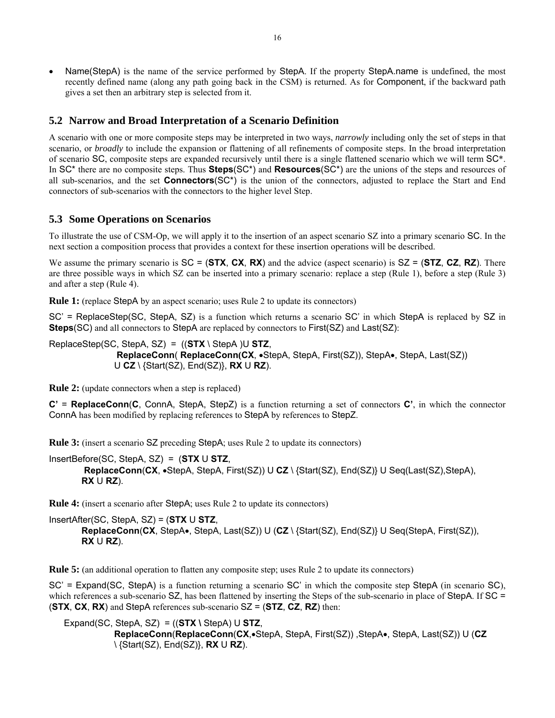• Name(StepA) is the name of the service performed by StepA. If the property StepA.name is undefined, the most recently defined name (along any path going back in the CSM) is returned. As for Component, if the backward path gives a set then an arbitrary step is selected from it.

## **5.2 Narrow and Broad Interpretation of a Scenario Definition**

A scenario with one or more composite steps may be interpreted in two ways, *narrowly* including only the set of steps in that scenario, or *broadly* to include the expansion or flattening of all refinements of composite steps. In the broad interpretation of scenario SC, composite steps are expanded recursively until there is a single flattened scenario which we will term SC\*. In SC\* there are no composite steps. Thus **Steps**(SC\*) and **Resources**(SC\*) are the unions of the steps and resources of all sub-scenarios, and the set **Connectors**(SC\*) is the union of the connectors, adjusted to replace the Start and End connectors of sub-scenarios with the connectors to the higher level Step.

## **5.3 Some Operations on Scenarios**

To illustrate the use of CSM-Op, we will apply it to the insertion of an aspect scenario SZ into a primary scenario SC. In the next section a composition process that provides a context for these insertion operations will be described.

We assume the primary scenario is SC = (**STX**, **CX**, **RX**) and the advice (aspect scenario) is SZ = (**STZ**, **CZ**, **RZ**). There are three possible ways in which SZ can be inserted into a primary scenario: replace a step (Rule 1), before a step (Rule 3) and after a step (Rule 4).

**Rule 1:** (replace StepA by an aspect scenario; uses Rule 2 to update its connectors)

SC' = ReplaceStep(SC, StepA, SZ) is a function which returns a scenario SC' in which StepA is replaced by SZ in **Steps**(SC) and all connectors to StepA are replaced by connectors to First(SZ) and Last(SZ):

ReplaceStep(SC, StepA, SZ) = ((**STX** \ StepA )U **STZ**,  **ReplaceConn**( **ReplaceConn(CX**, •StepA, StepA, First(SZ)), StepA•, StepA, Last(SZ)) U **CZ** \ {Start(SZ), End(SZ)}, **RX** U **RZ**).

**Rule 2:** (update connectors when a step is replaced)

**C'** = **ReplaceConn**(**C**, ConnA, StepA, StepZ) is a function returning a set of connectors **C'**, in which the connector ConnA has been modified by replacing references to StepA by references to StepZ.

**Rule 3:** (insert a scenario SZ preceding StepA; uses Rule 2 to update its connectors)

```
InsertBefore(SC, StepA, SZ) = (STX U STZ, 
      ReplaceConn(CX, •StepA, StepA, First(SZ)) U CZ \ {Start(SZ), End(SZ)} U Seq(Last(SZ),StepA), 
    RX U RZ).
```
**Rule 4:** (insert a scenario after StepA; uses Rule 2 to update its connectors)

InsertAfter(SC, StepA, SZ) = (**STX** U **STZ**, **ReplaceConn**(**CX**, StepA•, StepA, Last(SZ)) U (**CZ** \ {Start(SZ), End(SZ)} U Seq(StepA, First(SZ)), **RX** U **RZ**).

**Rule 5:** (an additional operation to flatten any composite step; uses Rule 2 to update its connectors)

SC' = Expand(SC, StepA) is a function returning a scenario SC' in which the composite step StepA (in scenario SC), which references a sub-scenario SZ, has been flattened by inserting the Steps of the sub-scenario in place of StepA. If SC = (**STX**, **CX**, **RX**) and StepA references sub-scenario SZ = (**STZ**, **CZ**, **RZ**) then:

Expand(SC, StepA, SZ) =  $((STX \setminus \text{StepA}) \cup STZ)$  **ReplaceConn**(**ReplaceConn**(**CX**,•StepA, StepA, First(SZ)) ,StepA•, StepA, Last(SZ)) U (**CZ** \ {Start(SZ), End(SZ)}, **RX** U **RZ**).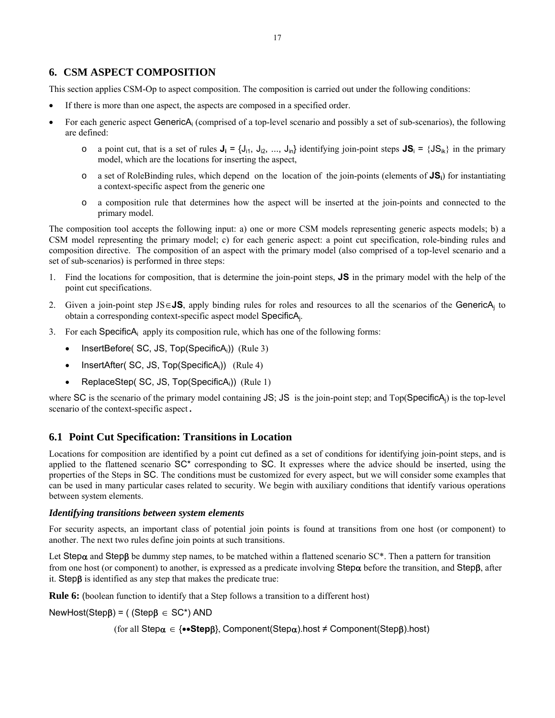## **6. CSM ASPECT COMPOSITION**

This section applies CSM-Op to aspect composition. The composition is carried out under the following conditions:

- If there is more than one aspect, the aspects are composed in a specified order.
- For each generic aspect GenericA<sub>i</sub> (comprised of a top-level scenario and possibly a set of sub-scenarios), the following are defined:
	- $\circ$  a point cut, that is a set of rules  $J_i = \{J_{i1}, J_{i2}, ..., J_{in}\}$  identifying join-point steps  $JS_i = \{JS_{ik}\}\$ in the primary model, which are the locations for inserting the aspect,
	- o a set of RoleBinding rules, which depend on the location of the join-points (elements of **JSi**) for instantiating a context-specific aspect from the generic one
	- o a composition rule that determines how the aspect will be inserted at the join-points and connected to the primary model.

The composition tool accepts the following input: a) one or more CSM models representing generic aspects models; b) a CSM model representing the primary model; c) for each generic aspect: a point cut specification, role-binding rules and composition directive. The composition of an aspect with the primary model (also comprised of a top-level scenario and a set of sub-scenarios) is performed in three steps:

- 1. Find the locations for composition, that is determine the join-point steps, **JS** in the primary model with the help of the point cut specifications.
- 2. Given a join-point step JS∈**JS**, apply binding rules for roles and resources to all the scenarios of the GenericAj to obtain a corresponding context-specific aspect model SpecificA<sub>j</sub>.
- 3. For each SpecificA $_i$  apply its composition rule, which has one of the following forms:
	- InsertBefore( SC, JS, Top(SpecificA<sub>i</sub>)) (Rule 3)
	- InsertAfter( SC, JS, Top(SpecificA<sub>i</sub>)) (Rule 4)
	- ReplaceStep( SC, JS, Top(SpecificA<sub>i</sub>)) (Rule 1)

where SC is the scenario of the primary model containing  $JS$ ;  $JS$  is the join-point step; and  $Top(Specific A<sub>j</sub>)$  is the top-level scenario of the context-specific aspect **.**

## **6.1 Point Cut Specification: Transitions in Location**

Locations for composition are identified by a point cut defined as a set of conditions for identifying join-point steps, and is applied to the flattened scenario SC\* corresponding to SC. It expresses where the advice should be inserted, using the properties of the Steps in SC. The conditions must be customized for every aspect, but we will consider some examples that can be used in many particular cases related to security. We begin with auxiliary conditions that identify various operations between system elements.

#### *Identifying transitions between system elements*

For security aspects, an important class of potential join points is found at transitions from one host (or component) to another. The next two rules define join points at such transitions.

Let Stepα and Stepβ be dummy step names, to be matched within a flattened scenario SC\*. Then a pattern for transition from one host (or component) to another, is expressed as a predicate involving Stepα before the transition, and Stepβ, after it. Stepβ is identified as any step that makes the predicate true:

**Rule 6:** (boolean function to identify that a Step follows a transition to a different host)

NewHost(Stepβ) = ( (Stepβ  $∈$  SC<sup>\*</sup>) AND

(for all Stepα ∈ {••**Step**β}, Component(Stepα).host ≠ Component(Stepβ).host)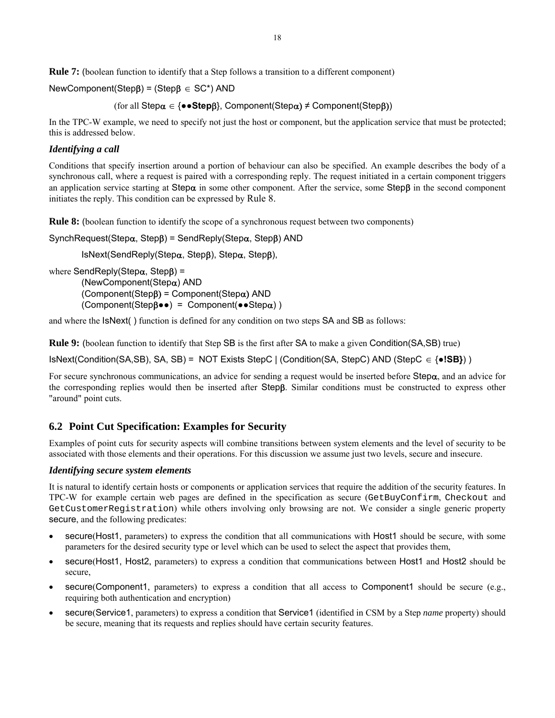**Rule 7:** (boolean function to identify that a Step follows a transition to a different component)

NewComponent(Stepβ) = (Stepβ ∈ SC\*) AND

(for all Stepα ∈ {●●**Step**β}, Component(Stepα) ≠ Component(Stepβ))

In the TPC-W example, we need to specify not just the host or component, but the application service that must be protected; this is addressed below.

## *Identifying a call*

Conditions that specify insertion around a portion of behaviour can also be specified. An example describes the body of a synchronous call, where a request is paired with a corresponding reply. The request initiated in a certain component triggers an application service starting at Step $\alpha$  in some other component. After the service, some Step $\beta$  in the second component initiates the reply. This condition can be expressed by Rule 8.

**Rule 8:** (boolean function to identify the scope of a synchronous request between two components)

```
SynchRequest(Stepα, Stepβ) = SendReply(Stepα, Stepβ) AND
```
IsNext(SendReply(Stepα, Stepβ), Stepα, Stepβ),

```
where SendReply(Stepα, Stepβ) =
      (NewComponent(Stepα) AND 
     (Component(Stepβ) = Component(Stepα) AND 
     (Component(StepB\bullet) = Component(\bullet\bulletStep\alpha))
```
and where the IsNext( ) function is defined for any condition on two steps SA and SB as follows:

**Rule 9:** (boolean function to identify that Step SB is the first after SA to make a given Condition(SA,SB) true)

IsNext(Condition(SA,SB), SA, SB) = NOT Exists StepC | (Condition(SA, StepC) AND (StepC ∈ {**●!SB}**) )

For secure synchronous communications, an advice for sending a request would be inserted before Stepα, and an advice for the corresponding replies would then be inserted after Stepβ. Similar conditions must be constructed to express other "around" point cuts.

# **6.2 Point Cut Specification: Examples for Security**

Examples of point cuts for security aspects will combine transitions between system elements and the level of security to be associated with those elements and their operations. For this discussion we assume just two levels, secure and insecure.

#### *Identifying secure system elements*

It is natural to identify certain hosts or components or application services that require the addition of the security features. In TPC-W for example certain web pages are defined in the specification as secure (GetBuyConfirm, Checkout and GetCustomerRegistration) while others involving only browsing are not. We consider a single generic property secure, and the following predicates:

- secure(Host1, parameters) to express the condition that all communications with Host1 should be secure, with some parameters for the desired security type or level which can be used to select the aspect that provides them,
- secure(Host1, Host2, parameters) to express a condition that communications between Host1 and Host2 should be secure,
- secure(Component1, parameters) to express a condition that all access to Component1 should be secure (e.g., requiring both authentication and encryption)
- secure(Service1, parameters) to express a condition that Service1 (identified in CSM by a Step *name* property) should be secure, meaning that its requests and replies should have certain security features.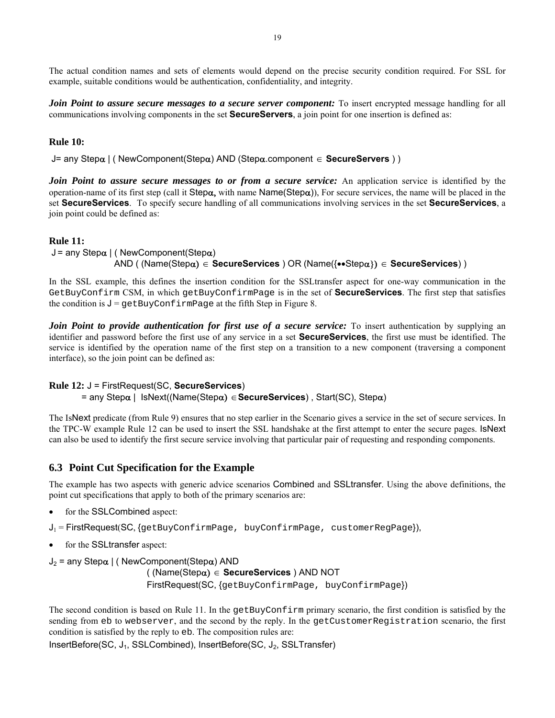The actual condition names and sets of elements would depend on the precise security condition required. For SSL for example, suitable conditions would be authentication, confidentiality, and integrity.

*Join Point to assure secure messages to a secure server component:* To insert encrypted message handling for all communications involving components in the set **SecureServers**, a join point for one insertion is defined as:

#### **Rule 10:**

J= any Stepα | ( NewComponent(Stepα) AND (Stepα.component ∈ **SecureServers** ) )

*Join Point to assure secure messages to or from a secure service:* An application service is identified by the operation-name of its first step (call it Step $\alpha$ , with name Name(Step $\alpha$ )), For secure services, the name will be placed in the set **SecureServices**. To specify secure handling of all communications involving services in the set **SecureServices**, a join point could be defined as:

#### **Rule 11:**

```
J = any Step\alpha | (NewComponent(Step\alpha)
             AND ( (Name(Stepα) ∈ SecureServices ) OR (Name({••Stepα}) ∈ SecureServices) )
```
In the SSL example, this defines the insertion condition for the SSLtransfer aspect for one-way communication in the GetBuyConfirm CSM, in which getBuyConfirmPage is in the set of **SecureServices**. The first step that satisfies the condition is  $J = getBuyConfirmPage$  at the fifth Step in Figure 8.

*Join Point to provide authentication for first use of a secure service:* To insert authentication by supplying an identifier and password before the first use of any service in a set **SecureServices**, the first use must be identified. The service is identified by the operation name of the first step on a transition to a new component (traversing a component interface), so the join point can be defined as:

#### **Rule 12:** J = FirstRequest(SC, **SecureServices**)

= any Stepα | IsNext((Name(Stepα) ∈**SecureServices**) , Start(SC), Stepα)

The IsNext predicate (from Rule 9) ensures that no step earlier in the Scenario gives a service in the set of secure services. In the TPC-W example Rule 12 can be used to insert the SSL handshake at the first attempt to enter the secure pages. IsNext can also be used to identify the first secure service involving that particular pair of requesting and responding components.

## **6.3 Point Cut Specification for the Example**

The example has two aspects with generic advice scenarios Combined and SSLtransfer. Using the above definitions, the point cut specifications that apply to both of the primary scenarios are:

- for the SSLCombined aspect:
- $J_1$  = FirstRequest(SC, {getBuyConfirmPage, buyConfirmPage, customerRegPage}),
- for the SSLtransfer aspect:

 $J_2$  = any Step $\alpha$  | (NewComponent(Step $\alpha$ ) AND

 ( (Name(Stepα) ∈ **SecureServices** ) AND NOT FirstRequest(SC, {getBuyConfirmPage, buyConfirmPage})

The second condition is based on Rule 11. In the getBuyConfirm primary scenario, the first condition is satisfied by the sending from eb to webserver, and the second by the reply. In the getCustomerRegistration scenario, the first condition is satisfied by the reply to eb. The composition rules are:

InsertBefore(SC, J<sub>1</sub>, SSLCombined), InsertBefore(SC, J<sub>2</sub>, SSLTransfer)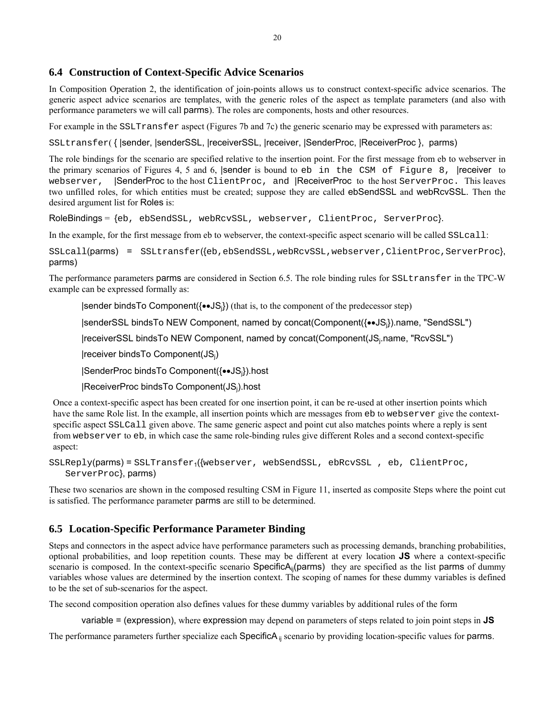## **6.4 Construction of Context-Specific Advice Scenarios**

In Composition Operation 2, the identification of join-points allows us to construct context-specific advice scenarios. The generic aspect advice scenarios are templates, with the generic roles of the aspect as template parameters (and also with performance parameters we will call parms). The roles are components, hosts and other resources.

For example in the SSLTransfer aspect (Figures 7b and 7c) the generic scenario may be expressed with parameters as:

SSLtransfer( { |sender, |senderSSL, |receiverSSL, |receiver, |SenderProc, |ReceiverProc }, parms)

The role bindings for the scenario are specified relative to the insertion point. For the first message from eb to webserver in the primary scenarios of Figures 4, 5 and 6, |sender is bound to eb in the CSM of Figure 8, |receiver to webserver, SenderProc to the host ClientProc, and ReceiverProc to the host ServerProc. This leaves two unfilled roles, for which entities must be created; suppose they are called ebSendSSL and webRcvSSL. Then the desired argument list for Roles is:

RoleBindings = {eb, ebSendSSL, webRcvSSL, webserver, ClientProc, ServerProc}.

In the example, for the first message from eb to webserver, the context-specific aspect scenario will be called SSLcall:

SSLcall(parms) = SSLtransfer({eb,ebSendSSL,webRcvSSL,webserver,ClientProc,ServerProc}, parms)

The performance parameters parms are considered in Section 6.5. The role binding rules for SSLtransfer in the TPC-W example can be expressed formally as:

 $|sender\;bindsTo\;Component({\bullet \bullet JS_j})$  (that is, to the component of the predecessor step)

|senderSSL bindsTo NEW Component, named by concat(Component({••JSj }).name, "SendSSL")

|receiverSSL bindsTo NEW Component, named by concat(Component(JS<sub>i</sub>.name, "RcvSSL")

|receiver bindsTo Component(JS<sub>j</sub>)

|SenderProc bindsTo Component({••JSj }).host

|ReceiverProc bindsTo Component(JSj ).host

Once a context-specific aspect has been created for one insertion point, it can be re-used at other insertion points which have the same Role list. In the example, all insertion points which are messages from eb to webserver give the contextspecific aspect SSLCall given above. The same generic aspect and point cut also matches points where a reply is sent from webserver to eb, in which case the same role-binding rules give different Roles and a second context-specific aspect:

```
SSLReply(parms) = SSLTransfer1({webserver, webSendSSL, ebRcvSSL , eb, ClientProc, 
ServerProc}, parms)
```
These two scenarios are shown in the composed resulting CSM in Figure 11, inserted as composite Steps where the point cut is satisfied. The performance parameter parms are still to be determined.

## **6.5 Location-Specific Performance Parameter Binding**

Steps and connectors in the aspect advice have performance parameters such as processing demands, branching probabilities, optional probabilities, and loop repetition counts. These may be different at every location **JS** where a context-specific scenario is composed. In the context-specific scenario SpecificA $_{ii}$ (parms) they are specified as the list parms of dummy variables whose values are determined by the insertion context. The scoping of names for these dummy variables is defined to be the set of sub-scenarios for the aspect.

The second composition operation also defines values for these dummy variables by additional rules of the form

variable = (expression), where expression may depend on parameters of steps related to join point steps in **JS**

The performance parameters further specialize each  $\text{SpecificA}_{ii}$  scenario by providing location-specific values for parms.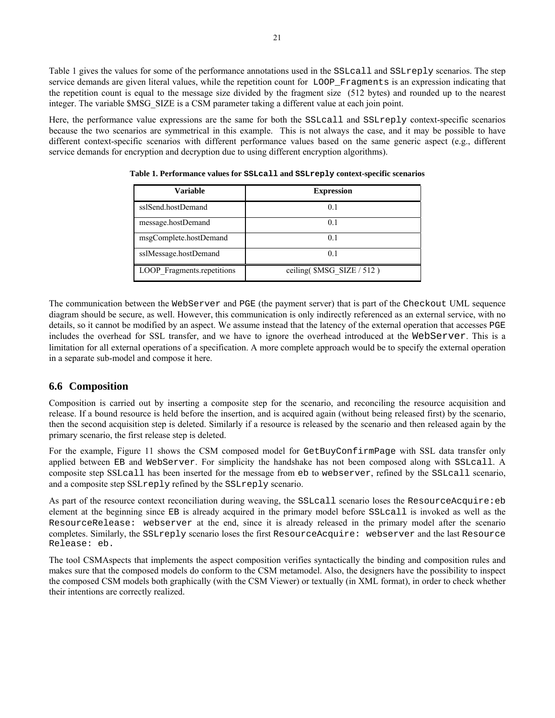Table 1 gives the values for some of the performance annotations used in the SSLcall and SSLreply scenarios. The step service demands are given literal values, while the repetition count for LOOP Fragments is an expression indicating that the repetition count is equal to the message size divided by the fragment size (512 bytes) and rounded up to the nearest integer. The variable \$MSG\_SIZE is a CSM parameter taking a different value at each join point.

Here, the performance value expressions are the same for both the SSLcall and SSLreply context-specific scenarios because the two scenarios are symmetrical in this example. This is not always the case, and it may be possible to have different context-specific scenarios with different performance values based on the same generic aspect (e.g., different service demands for encryption and decryption due to using different encryption algorithms).

| <b>Variable</b>            | <b>Expression</b>       |
|----------------------------|-------------------------|
| sslSend.hostDemand         | 0.1                     |
| message.hostDemand         | 01                      |
| msgComplete.hostDemand     | 01                      |
| sslMessage.hostDemand      | 0 <sub>1</sub>          |
| LOOP Fragments.repetitions | ceiling(\$MSG SIZE/512) |

**Table 1. Performance values for SSLcall and SSLreply context-specific scenarios** 

The communication between the WebServer and PGE (the payment server) that is part of the Checkout UML sequence diagram should be secure, as well. However, this communication is only indirectly referenced as an external service, with no details, so it cannot be modified by an aspect. We assume instead that the latency of the external operation that accesses PGE includes the overhead for SSL transfer, and we have to ignore the overhead introduced at the WebServer. This is a limitation for all external operations of a specification. A more complete approach would be to specify the external operation in a separate sub-model and compose it here.

#### **6.6 Composition**

Composition is carried out by inserting a composite step for the scenario, and reconciling the resource acquisition and release. If a bound resource is held before the insertion, and is acquired again (without being released first) by the scenario, then the second acquisition step is deleted. Similarly if a resource is released by the scenario and then released again by the primary scenario, the first release step is deleted.

For the example, Figure 11 shows the CSM composed model for GetBuyConfirmPage with SSL data transfer only applied between EB and WebServer. For simplicity the handshake has not been composed along with SSLcall. A composite step SSLcall has been inserted for the message from eb to webserver, refined by the SSLcall scenario, and a composite step SSLreply refined by the SSLreply scenario.

As part of the resource context reconciliation during weaving, the SSLcall scenario loses the ResourceAcquire:eb element at the beginning since EB is already acquired in the primary model before SSLcall is invoked as well as the ResourceRelease: webserver at the end, since it is already released in the primary model after the scenario completes. Similarly, the SSLreply scenario loses the first ResourceAcquire: webserver and the last Resource Release: eb.

The tool CSMAspects that implements the aspect composition verifies syntactically the binding and composition rules and makes sure that the composed models do conform to the CSM metamodel. Also, the designers have the possibility to inspect the composed CSM models both graphically (with the CSM Viewer) or textually (in XML format), in order to check whether their intentions are correctly realized.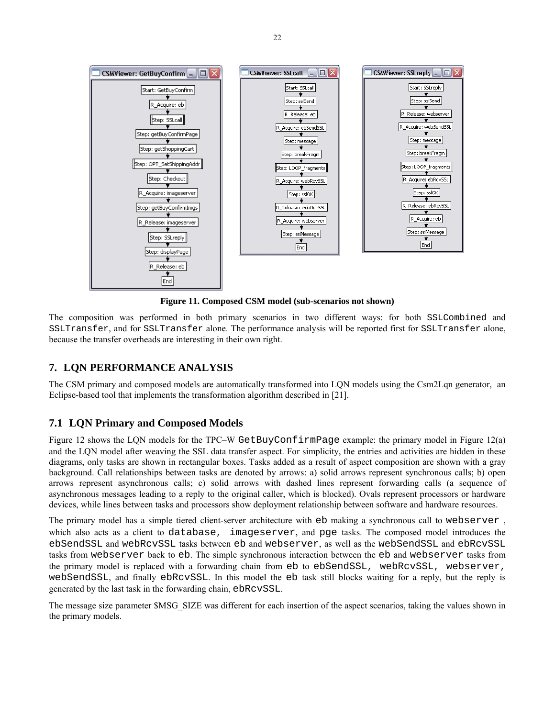

**Figure 11. Composed CSM model (sub-scenarios not shown)** 

The composition was performed in both primary scenarios in two different ways: for both SSLCombined and SSLTransfer, and for SSLTransfer alone. The performance analysis will be reported first for SSLTransfer alone, because the transfer overheads are interesting in their own right.

# **7. LQN PERFORMANCE ANALYSIS**

The CSM primary and composed models are automatically transformed into LQN models using the Csm2Lqn generator, an Eclipse-based tool that implements the transformation algorithm described in [21].

# **7.1 LQN Primary and Composed Models**

Figure 12 shows the LQN models for the TPC–W GetBuyConfirmPage example: the primary model in Figure 12(a) and the LQN model after weaving the SSL data transfer aspect. For simplicity, the entries and activities are hidden in these diagrams, only tasks are shown in rectangular boxes. Tasks added as a result of aspect composition are shown with a gray background. Call relationships between tasks are denoted by arrows: a) solid arrows represent synchronous calls; b) open arrows represent asynchronous calls; c) solid arrows with dashed lines represent forwarding calls (a sequence of asynchronous messages leading to a reply to the original caller, which is blocked). Ovals represent processors or hardware devices, while lines between tasks and processors show deployment relationship between software and hardware resources.

The primary model has a simple tiered client-server architecture with eb making a synchronous call to webserver , which also acts as a client to database, imageserver, and pge tasks. The composed model introduces the ebSendSSL and webRcvSSL tasks between eb and webserver, as well as the webSendSSL and ebRcvSSL tasks from webserver back to eb. The simple synchronous interaction between the eb and webserver tasks from the primary model is replaced with a forwarding chain from eb to ebSendSSL, webRcvSSL, webserver, webSendSSL, and finally ebRcvSSL. In this model the eb task still blocks waiting for a reply, but the reply is generated by the last task in the forwarding chain, ebRcvSSL.

The message size parameter \$MSG\_SIZE was different for each insertion of the aspect scenarios, taking the values shown in the primary models.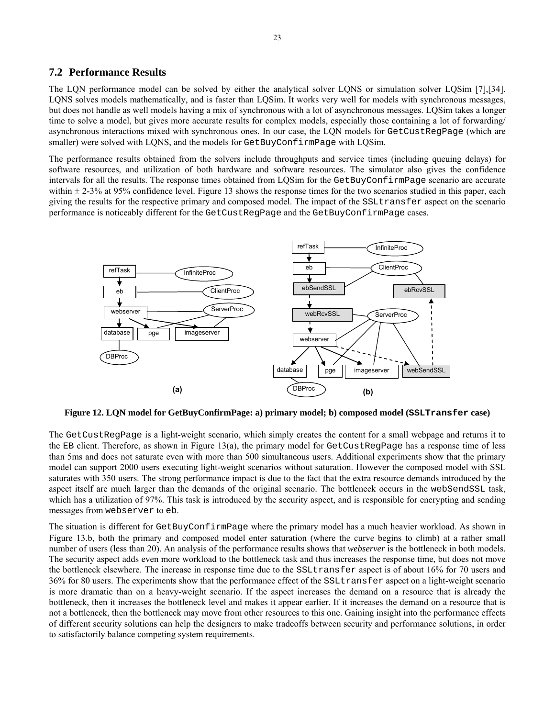#### **7.2 Performance Results**

The LQN performance model can be solved by either the analytical solver LQNS or simulation solver LQSim [7],[34]. LQNS solves models mathematically, and is faster than LQSim. It works very well for models with synchronous messages, but does not handle as well models having a mix of synchronous with a lot of asynchronous messages. LQSim takes a longer time to solve a model, but gives more accurate results for complex models, especially those containing a lot of forwarding/ asynchronous interactions mixed with synchronous ones. In our case, the LQN models for GetCustRegPage (which are smaller) were solved with LQNS, and the models for GetBuyConfirmPage with LQSim.

The performance results obtained from the solvers include throughputs and service times (including queuing delays) for software resources, and utilization of both hardware and software resources. The simulator also gives the confidence intervals for all the results. The response times obtained from LQSim for the GetBuyConfirmPage scenario are accurate within  $\pm$  2-3% at 95% confidence level. Figure 13 shows the response times for the two scenarios studied in this paper, each giving the results for the respective primary and composed model. The impact of the SSLtransfer aspect on the scenario performance is noticeably different for the GetCustRegPage and the GetBuyConfirmPage cases.



**Figure 12. LQN model for GetBuyConfirmPage: a) primary model; b) composed model (SSLTransfer case)** 

The GetCustRegPage is a light-weight scenario, which simply creates the content for a small webpage and returns it to the EB client. Therefore, as shown in Figure 13(a), the primary model for GetCustRegPage has a response time of less than 5ms and does not saturate even with more than 500 simultaneous users. Additional experiments show that the primary model can support 2000 users executing light-weight scenarios without saturation. However the composed model with SSL saturates with 350 users. The strong performance impact is due to the fact that the extra resource demands introduced by the aspect itself are much larger than the demands of the original scenario. The bottleneck occurs in the webSendSSL task, which has a utilization of 97%. This task is introduced by the security aspect, and is responsible for encrypting and sending messages from webserver to eb.

The situation is different for GetBuyConfirmPage where the primary model has a much heavier workload. As shown in Figure 13.b, both the primary and composed model enter saturation (where the curve begins to climb) at a rather small number of users (less than 20). An analysis of the performance results shows that *webserver* is the bottleneck in both models. The security aspect adds even more workload to the bottleneck task and thus increases the response time, but does not move the bottleneck elsewhere. The increase in response time due to the SSLtransfer aspect is of about 16% for 70 users and 36% for 80 users. The experiments show that the performance effect of the SSLtransfer aspect on a light-weight scenario is more dramatic than on a heavy-weight scenario. If the aspect increases the demand on a resource that is already the bottleneck, then it increases the bottleneck level and makes it appear earlier. If it increases the demand on a resource that is not a bottleneck, then the bottleneck may move from other resources to this one. Gaining insight into the performance effects of different security solutions can help the designers to make tradeoffs between security and performance solutions, in order to satisfactorily balance competing system requirements.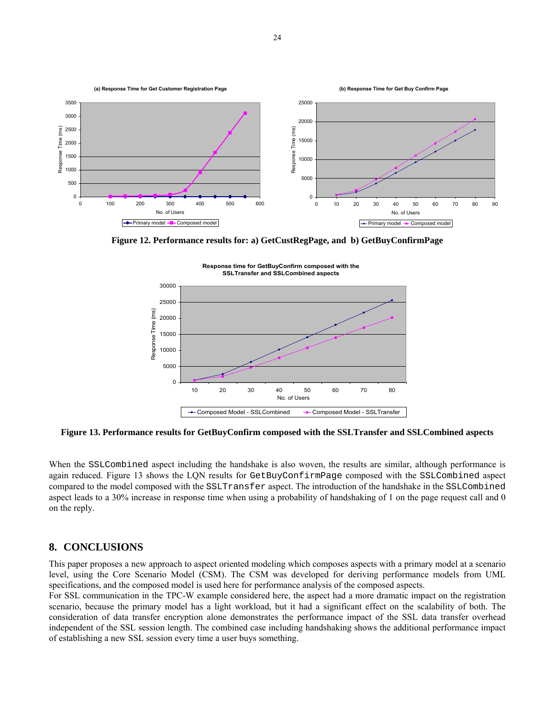

**Figure 12. Performance results for: a) GetCustRegPage, and b) GetBuyConfirmPage** 



**Response time for GetBuyConfirm composed with the SSLTransfer and SSLCombined aspects**

**Figure 13. Performance results for GetBuyConfirm composed with the SSLTransfer and SSLCombined aspects** 

When the SSLCombined aspect including the handshake is also woven, the results are similar, although performance is again reduced. Figure 13 shows the LQN results for GetBuyConfirmPage composed with the SSLCombined aspect compared to the model composed with the SSLTransfer aspect. The introduction of the handshake in the SSLCombined aspect leads to a 30% increase in response time when using a probability of handshaking of 1 on the page request call and 0 on the reply.

# **8. CONCLUSIONS**

This paper proposes a new approach to aspect oriented modeling which composes aspects with a primary model at a scenario level, using the Core Scenario Model (CSM). The CSM was developed for deriving performance models from UML specifications, and the composed model is used here for performance analysis of the composed aspects.

For SSL communication in the TPC-W example considered here, the aspect had a more dramatic impact on the registration scenario, because the primary model has a light workload, but it had a significant effect on the scalability of both. The consideration of data transfer encryption alone demonstrates the performance impact of the SSL data transfer overhead independent of the SSL session length. The combined case including handshaking shows the additional performance impact of establishing a new SSL session every time a user buys something.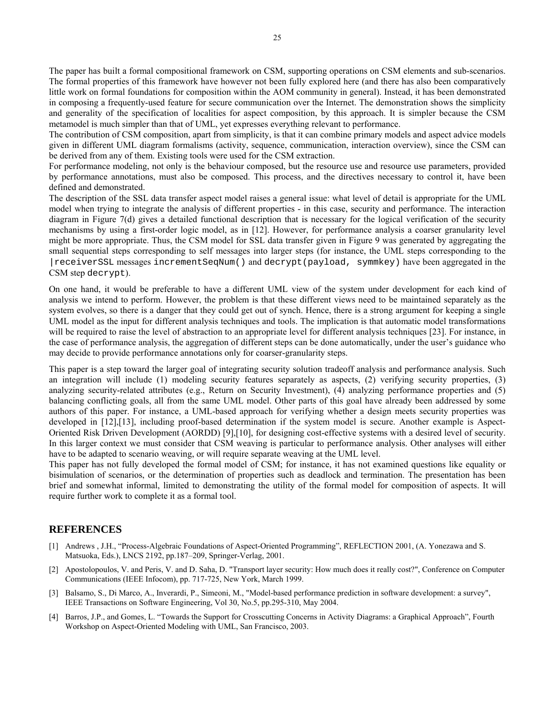The paper has built a formal compositional framework on CSM, supporting operations on CSM elements and sub-scenarios. The formal properties of this framework have however not been fully explored here (and there has also been comparatively little work on formal foundations for composition within the AOM community in general). Instead, it has been demonstrated in composing a frequently-used feature for secure communication over the Internet. The demonstration shows the simplicity and generality of the specification of localities for aspect composition, by this approach. It is simpler because the CSM metamodel is much simpler than that of UML, yet expresses everything relevant to performance.

The contribution of CSM composition, apart from simplicity, is that it can combine primary models and aspect advice models given in different UML diagram formalisms (activity, sequence, communication, interaction overview), since the CSM can be derived from any of them. Existing tools were used for the CSM extraction.

For performance modeling, not only is the behaviour composed, but the resource use and resource use parameters, provided by performance annotations, must also be composed. This process, and the directives necessary to control it, have been defined and demonstrated.

The description of the SSL data transfer aspect model raises a general issue: what level of detail is appropriate for the UML model when trying to integrate the analysis of different properties - in this case, security and performance. The interaction diagram in Figure 7(d) gives a detailed functional description that is necessary for the logical verification of the security mechanisms by using a first-order logic model, as in [12]. However, for performance analysis a coarser granularity level might be more appropriate. Thus, the CSM model for SSL data transfer given in Figure 9 was generated by aggregating the small sequential steps corresponding to self messages into larger steps (for instance, the UML steps corresponding to the |receiverSSL messages incrementSeqNum() and decrypt(payload, symmkey) have been aggregated in the CSM step decrypt).

On one hand, it would be preferable to have a different UML view of the system under development for each kind of analysis we intend to perform. However, the problem is that these different views need to be maintained separately as the system evolves, so there is a danger that they could get out of synch. Hence, there is a strong argument for keeping a single UML model as the input for different analysis techniques and tools. The implication is that automatic model transformations will be required to raise the level of abstraction to an appropriate level for different analysis techniques [23]. For instance, in the case of performance analysis, the aggregation of different steps can be done automatically, under the user's guidance who may decide to provide performance annotations only for coarser-granularity steps.

This paper is a step toward the larger goal of integrating security solution tradeoff analysis and performance analysis. Such an integration will include (1) modeling security features separately as aspects, (2) verifying security properties, (3) analyzing security-related attributes (e.g., Return on Security Investment), (4) analyzing performance properties and (5) balancing conflicting goals, all from the same UML model. Other parts of this goal have already been addressed by some authors of this paper. For instance, a UML-based approach for verifying whether a design meets security properties was developed in [12],[13], including proof-based determination if the system model is secure. Another example is Aspect-Oriented Risk Driven Development (AORDD) [9],[10], for designing cost-effective systems with a desired level of security. In this larger context we must consider that CSM weaving is particular to performance analysis. Other analyses will either have to be adapted to scenario weaving, or will require separate weaving at the UML level.

This paper has not fully developed the formal model of CSM; for instance, it has not examined questions like equality or bisimulation of scenarios, or the determination of properties such as deadlock and termination. The presentation has been brief and somewhat informal, limited to demonstrating the utility of the formal model for composition of aspects. It will require further work to complete it as a formal tool.

#### **REFERENCES**

- [1] Andrews , J.H., "Process-Algebraic Foundations of Aspect-Oriented Programming", REFLECTION 2001, (A. Yonezawa and S. Matsuoka, Eds.), LNCS 2192, pp.187–209, Springer-Verlag, 2001.
- [2] Apostolopoulos, V. and Peris, V. and D. Saha, D. "Transport layer security: How much does it really cost?", Conference on Computer Communications (IEEE Infocom), pp. 717-725, New York, March 1999.
- [3] Balsamo, S., Di Marco, A., Inverardi, P., Simeoni, M., "Model-based performance prediction in software development: a survey", IEEE Transactions on Software Engineering, Vol 30, No.5, pp.295-310, May 2004.
- [4] Barros, J.P., and Gomes, L. "Towards the Support for Crosscutting Concerns in Activity Diagrams: a Graphical Approach", Fourth Workshop on Aspect-Oriented Modeling with UML, San Francisco, 2003.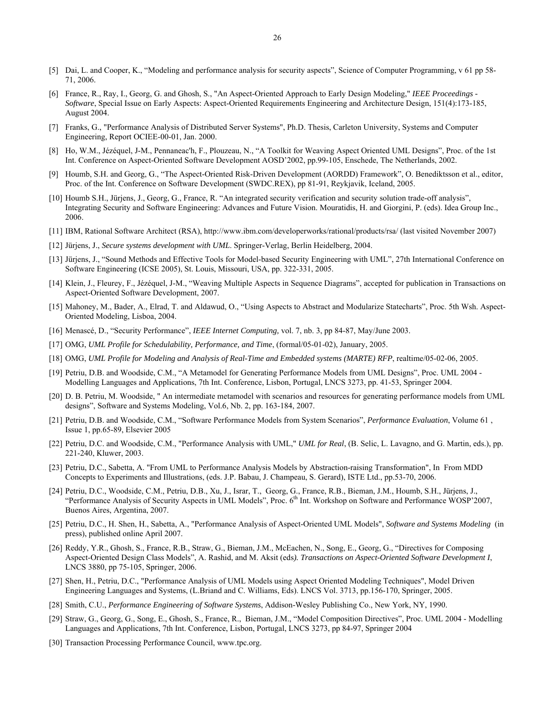- [5] Dai, L. and Cooper, K., "Modeling and performance analysis for security aspects", Science of Computer Programming, v 61 pp 58- 71, 2006.
- [6] France, R., Ray, I., Georg, G. and Ghosh, S., "An Aspect-Oriented Approach to Early Design Modeling," *IEEE Proceedings Software*, Special Issue on Early Aspects: Aspect-Oriented Requirements Engineering and Architecture Design, 151(4):173-185, August 2004.
- [7] Franks, G., "Performance Analysis of Distributed Server Systems", Ph.D. Thesis, Carleton University, Systems and Computer Engineering, Report OCIEE-00-01, Jan. 2000.
- [8] Ho, W.M., Jézéquel, J-M., Pennaneac'h, F., Plouzeau, N., "A Toolkit for Weaving Aspect Oriented UML Designs", Proc. of the 1st Int. Conference on Aspect-Oriented Software Development AOSD'2002, pp.99-105, Enschede, The Netherlands, 2002.
- [9] Houmb, S.H. and Georg, G., "The Aspect-Oriented Risk-Driven Development (AORDD) Framework", O. Benediktsson et al., editor, Proc. of the Int. Conference on Software Development (SWDC.REX), pp 81-91, Reykjavik, Iceland, 2005.
- [10] Houmb S.H., Jürjens, J., Georg, G., France, R. "An integrated security verification and security solution trade-off analysis", Integrating Security and Software Engineering: Advances and Future Vision. Mouratidis, H. and Giorgini, P. (eds). Idea Group Inc., 2006.
- [11] IBM, Rational Software Architect (RSA), http://www.ibm.com/developerworks/rational/products/rsa/ (last visited November 2007)
- [12] Jürjens, J., *Secure systems development with UML*. Springer-Verlag, Berlin Heidelberg, 2004.
- [13] Jürjens, J., "Sound Methods and Effective Tools for Model-based Security Engineering with UML", 27th International Conference on Software Engineering (ICSE 2005), St. Louis, Missouri, USA, pp. 322-331, 2005.
- [14] Klein, J., Fleurey, F., Jézéquel, J-M., "Weaving Multiple Aspects in Sequence Diagrams", accepted for publication in Transactions on Aspect-Oriented Software Development, 2007.
- [15] Mahoney, M., Bader, A., Elrad, T. and Aldawud, O., "Using Aspects to Abstract and Modularize Statecharts", Proc. 5th Wsh. Aspect-Oriented Modeling, Lisboa, 2004.
- [16] Menascé, D., "Security Performance", *IEEE Internet Computing,* vol. 7, nb. 3, pp 84-87, May/June 2003.
- [17] OMG, *UML Profile for Schedulability, Performance, and Time*, (formal/05-01-02), January, 2005.
- [18] OMG, *UML Profile for Modeling and Analysis of Real-Time and Embedded systems (MARTE) RFP*, realtime/05-02-06, 2005.
- [19] Petriu, D.B. and Woodside, C.M., "A Metamodel for Generating Performance Models from UML Designs", Proc. UML 2004 Modelling Languages and Applications, 7th Int. Conference, Lisbon, Portugal, LNCS 3273, pp. 41-53, Springer 2004.
- [20] D. B. Petriu, M. Woodside, " An intermediate metamodel with scenarios and resources for generating performance models from UML designs", Software and Systems Modeling, Vol.6, Nb. 2, pp. 163-184, 2007.
- [21] Petriu, D.B. and Woodside, C.M., "Software Performance Models from System Scenarios", *Performance Evaluation*, Volume 61 , Issue 1, pp.65-89, Elsevier 2005
- [22] Petriu, D.C. and Woodside, C.M., "Performance Analysis with UML," *UML for Real*, (B. Selic, L. Lavagno, and G. Martin, eds.), pp. 221-240, Kluwer, 2003.
- [23] Petriu, D.C., Sabetta, A. "From UML to Performance Analysis Models by Abstraction-raising Transformation", In From MDD Concepts to Experiments and Illustrations, (eds. J.P. Babau, J. Champeau, S. Gerard), ISTE Ltd., pp.53-70, 2006.
- [24] Petriu, D.C., Woodside, C.M., Petriu, D.B., Xu, J., Israr, T., Georg, G., France, R.B., Bieman, J.M., Houmb, S.H., Jürjens, J., "Performance Analysis of Security Aspects in UML Models", Proc. 6<sup>th</sup> Int. Workshop on Software and Performance WOSP'2007, Buenos Aires, Argentina, 2007.
- [25] Petriu, D.C., H. Shen, H., Sabetta, A., "Performance Analysis of Aspect-Oriented UML Models", *Software and Systems Modeling* (in press), published online April 2007.
- [26] Reddy, Y.R., Ghosh, S., France, R.B., Straw, G., Bieman, J.M., McEachen, N., Song, E., Georg, G., "Directives for Composing Aspect-Oriented Design Class Models", A. Rashid, and M. Aksit (eds*). Transactions on Aspect-Oriented Software Development I*, LNCS 3880, pp 75-105, Springer, 2006.
- [27] Shen, H., Petriu, D.C., "Performance Analysis of UML Models using Aspect Oriented Modeling Techniques", Model Driven Engineering Languages and Systems, (L.Briand and C. Williams, Eds). LNCS Vol. 3713, pp.156-170, Springer, 2005.
- [28] Smith, C.U., *Performance Engineering of Software Systems*, Addison-Wesley Publishing Co., New York, NY, 1990.
- [29] Straw, G., Georg, G., Song, E., Ghosh, S., France, R., Bieman, J.M., "Model Composition Directives", Proc. UML 2004 Modelling Languages and Applications, 7th Int. Conference, Lisbon, Portugal, LNCS 3273, pp 84-97, Springer 2004
- [30] Transaction Processing Performance Council, www.tpc.org.